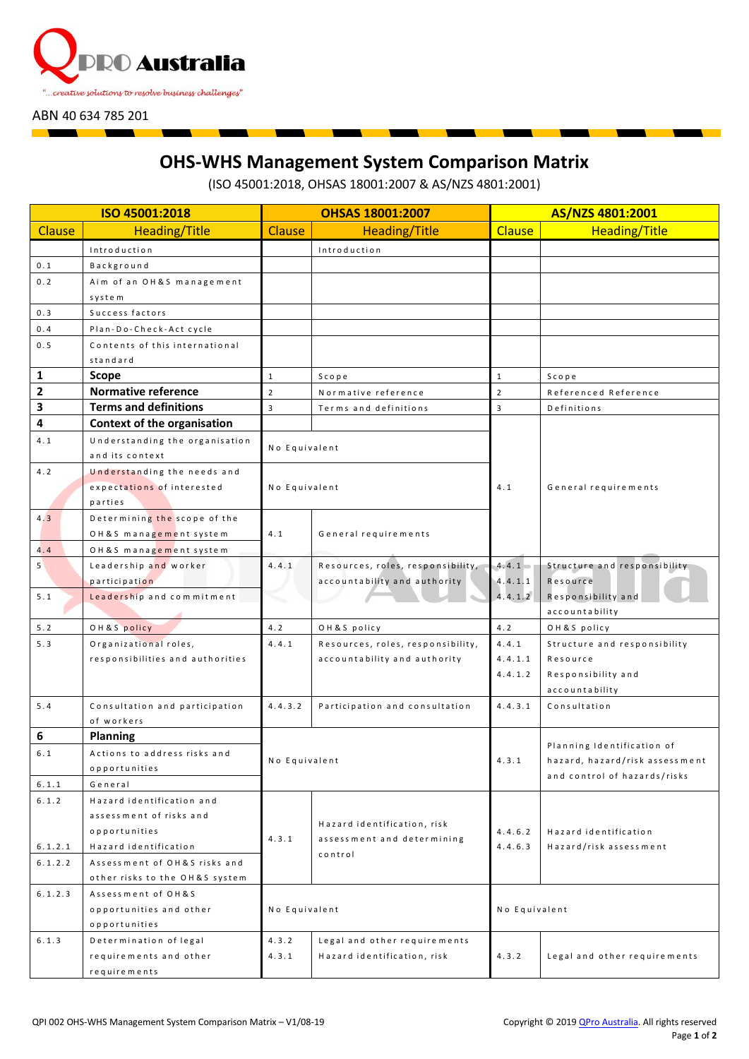

ABN 40 634 785 201

## **OHS-WHS Management System Comparison Matrix**

(ISO 45001:2018, OHSAS 18001:2007 & AS/NZS 4801:2001)

| ISO 45001:2018 |                                  | <b>OHSAS 18001:2007</b> |                                                                      | AS/NZS 4801:2001   |                                                 |  |
|----------------|----------------------------------|-------------------------|----------------------------------------------------------------------|--------------------|-------------------------------------------------|--|
| Clause         | <b>Heading/Title</b>             | <b>Clause</b>           | <b>Heading/Title</b>                                                 | <b>Clause</b>      | <b>Heading/Title</b>                            |  |
|                | Introduction                     |                         | Introduction                                                         |                    |                                                 |  |
| 0.1            | Background                       |                         |                                                                      |                    |                                                 |  |
| 0.2            | Aim of an OH&S management        |                         |                                                                      |                    |                                                 |  |
|                | system                           |                         |                                                                      |                    |                                                 |  |
| 0.3            | Success factors                  |                         |                                                                      |                    |                                                 |  |
| 0.4            | Plan-Do-Check-Act cycle          |                         |                                                                      |                    |                                                 |  |
| 0.5            | Contents of this international   |                         |                                                                      |                    |                                                 |  |
|                | standard                         |                         |                                                                      |                    |                                                 |  |
| $\mathbf{1}$   | <b>Scope</b>                     | $\mathbf{1}$            | Scope                                                                | $\mathbf{1}$       | Scope                                           |  |
| $\overline{2}$ | <b>Normative reference</b>       | $\overline{2}$          | Normative reference                                                  | $\overline{2}$     | Referenced Reference                            |  |
| 3              | <b>Terms and definitions</b>     | 3                       | Terms and definitions                                                | 3                  | Definitions                                     |  |
| 4              | Context of the organisation      |                         |                                                                      |                    |                                                 |  |
| 4.1            | Understanding the organisation   | No Equivalent           |                                                                      |                    |                                                 |  |
|                | and its context                  |                         |                                                                      |                    |                                                 |  |
| 4.2            | Understanding the needs and      |                         |                                                                      |                    |                                                 |  |
|                | expectations of interested       | No Equivalent           |                                                                      | 4.1                | General requirements                            |  |
|                | parties                          |                         |                                                                      |                    |                                                 |  |
| 4.3            | Determining the scope of the     |                         | General requirements                                                 |                    |                                                 |  |
|                | OH&S management system           | 4.1                     |                                                                      |                    |                                                 |  |
| 4.4            | OH&S management system           |                         |                                                                      |                    |                                                 |  |
| 5 <sup>1</sup> | Leadership and worker            | 4.4.1                   | Resources, roles, responsibility,                                    | $4.4.1 -$          | Structure and responsibility                    |  |
|                | participation                    |                         | accountability and authority                                         | 4.4.1.1            | Resource                                        |  |
| 5.1            | Leadership and commitment        |                         |                                                                      | 4.4.1.2            | Responsibility and<br>accountability            |  |
| 5.2            | OH&S policy                      | 4.2                     | OH&S policy                                                          | 4.2                | OH&S policy                                     |  |
| 5.3            | Organizational roles,            | 4.4.1                   | Resources, roles, responsibility,                                    | 4.4.1              | Structure and responsibility                    |  |
|                | responsibilities and authorities |                         | accountability and authority                                         | 4.4.1.1            | Resource                                        |  |
|                |                                  |                         |                                                                      | 4.4.1.2            | Responsibility and                              |  |
|                |                                  |                         |                                                                      |                    | accountability                                  |  |
| 5.4            | Consultation and participation   | 4.4.3.2                 | Participation and consultation                                       | 4.4.3.1            | Consultation                                    |  |
|                | of workers                       |                         |                                                                      |                    |                                                 |  |
| 6              | <b>Planning</b>                  |                         |                                                                      |                    | Planning Identification of                      |  |
| 6.1            | Actions to address risks and     | No Equivalent           |                                                                      | 4.3.1              | hazard, hazard/risk assessment                  |  |
|                | opportunities<br>General         |                         |                                                                      |                    | and control of hazards/risks                    |  |
| 6.1.1<br>6.1.2 | Hazard identification and        |                         |                                                                      |                    |                                                 |  |
|                | assessment of risks and          |                         |                                                                      |                    |                                                 |  |
|                | opportunities                    | 4.3.1                   | Hazard identification, risk<br>assessment and determining<br>control | 4.4.6.2<br>4.4.6.3 | Hazard identification<br>Hazard/risk assessment |  |
| 6.1.2.1        | Hazard identification            |                         |                                                                      |                    |                                                 |  |
| 6.1.2.2        | Assessment of OH&S risks and     |                         |                                                                      |                    |                                                 |  |
|                | other risks to the OH&S system   |                         |                                                                      |                    |                                                 |  |
| 6.1.2.3        | Assessment of OH&S               |                         |                                                                      |                    |                                                 |  |
|                | opportunities and other          | No Equivalent           |                                                                      | No Equivalent      |                                                 |  |
|                | opportunities                    |                         |                                                                      |                    |                                                 |  |
| 6.1.3          | Determination of legal           | 4.3.2                   | Legal and other requirements                                         |                    |                                                 |  |
|                | requirements and other           | 4.3.1                   | Hazard identification, risk                                          | 4.3.2              | Legal and other requirements                    |  |
|                | requirements                     |                         |                                                                      |                    |                                                 |  |